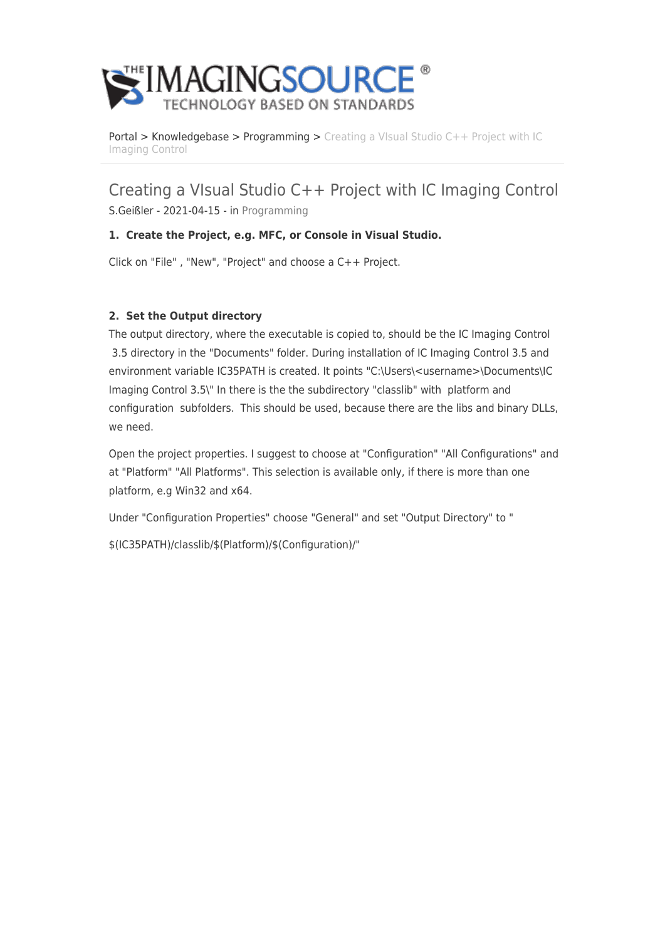

[Portal](https://theimagingsource.deskpro.com/en) > [Knowledgebase](https://theimagingsource.deskpro.com/en/kb) > [Programming](https://theimagingsource.deskpro.com/en/kb/programming) > [Creating a VIsual Studio C++ Project with IC](https://theimagingsource.deskpro.com/en/kb/articles/creating-a-visual-studio-c-project-with-ic-imaging-control) [Imaging Control](https://theimagingsource.deskpro.com/en/kb/articles/creating-a-visual-studio-c-project-with-ic-imaging-control)

Creating a VIsual Studio C++ Project with IC Imaging Control S.Geißler - 2021-04-15 - in [Programming](https://theimagingsource.deskpro.com/en/kb/programming)

## **1. Create the Project, e.g. MFC, or Console in Visual Studio.**

Click on "File" , "New", "Project" and choose a C++ Project.

## **2. Set the Output directory**

The output directory, where the executable is copied to, should be the IC Imaging Control 3.5 directory in the "Documents" folder. During installation of IC Imaging Control 3.5 and environment variable IC35PATH is created. It points "C:\Users\<username>\Documents\IC Imaging Control 3.5\" In there is the the subdirectory "classlib" with platform and configuration subfolders. This should be used, because there are the libs and binary DLLs, we need.

Open the project properties. I suggest to choose at "Configuration" "All Configurations" and at "Platform" "All Platforms". This selection is available only, if there is more than one platform, e.g Win32 and x64.

Under "Configuration Properties" choose "General" and set "Output Directory" to "

\$(IC35PATH)/classlib/\$(Platform)/\$(Configuration)/"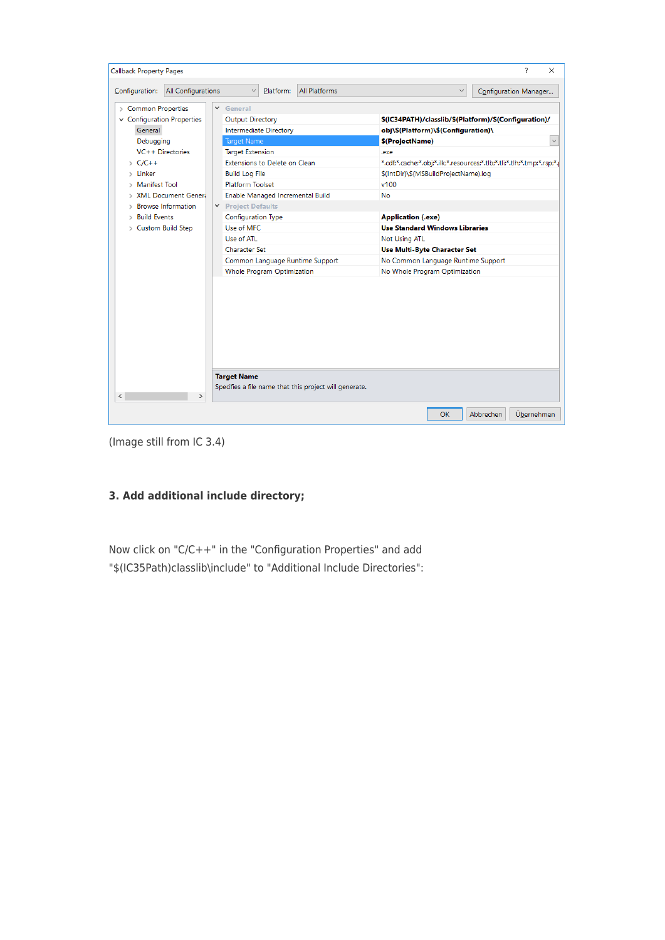

(Image still from IC 3.4)

## **3. Add additional include directory;**

Now click on "C/C++" in the "Configuration Properties" and add "\$(IC35Path)classlib\include" to "Additional Include Directories":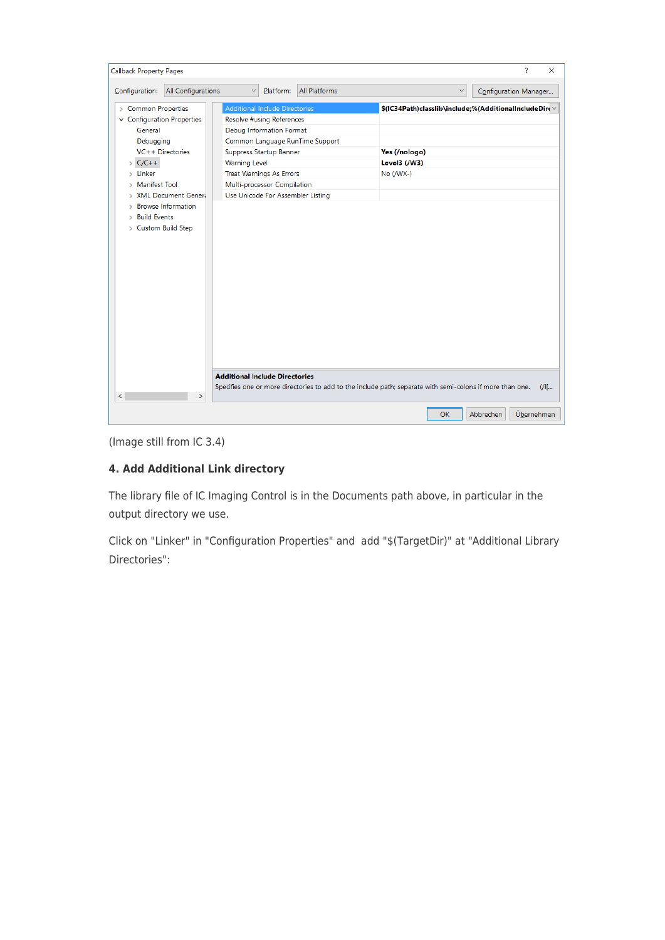| <b>Callback Property Pages</b>                                                                                                                                                                                                                                                                                                        |                                                                                                                                                                                                                                                                                      | ?<br>$\times$                                                                                                      |
|---------------------------------------------------------------------------------------------------------------------------------------------------------------------------------------------------------------------------------------------------------------------------------------------------------------------------------------|--------------------------------------------------------------------------------------------------------------------------------------------------------------------------------------------------------------------------------------------------------------------------------------|--------------------------------------------------------------------------------------------------------------------|
| All Configurations<br>Configuration:                                                                                                                                                                                                                                                                                                  | <b>All Platforms</b><br>Platform:<br>$\checkmark$                                                                                                                                                                                                                                    | Configuration Manager<br>$\checkmark$                                                                              |
| > Common Properties<br>$\vee$ Configuration Properties<br>General<br>Debugging<br>VC++ Directories<br>$\sum$ C/C++<br>$>$ Linker<br><b>Manifest Tool</b><br>$\rightarrow$<br><b>XML Document Gener.</b><br>$\rightarrow$<br><b>Browse Information</b><br>$\rightarrow$<br><b>Build Events</b><br>$\rightarrow$<br>> Custom Build Step | Additional Include Directories<br>Resolve #using References<br>Debug Information Format<br>Common Language RunTime Support<br>Suppress Startup Banner<br><b>Warning Level</b><br><b>Treat Warnings As Errors</b><br>Multi-processor Compilation<br>Use Unicode For Assembler Listing | \$(IC34Path)classlib\include;%(AdditionalIncludeDir( \<br>Yes (/nologo)<br>Level3 (/W3)<br>$No (WX-)$              |
| $\hat{}$<br>$\rightarrow$                                                                                                                                                                                                                                                                                                             | <b>Additional Include Directories</b>                                                                                                                                                                                                                                                | Specifies one or more directories to add to the include path; separate with semi-colons if more than one.<br>$U$ [ |
|                                                                                                                                                                                                                                                                                                                                       |                                                                                                                                                                                                                                                                                      | Übernehmen<br><b>OK</b><br>Abbrechen                                                                               |

(Image still from IC 3.4)

## **4. Add Additional Link directory**

The library file of IC Imaging Control is in the Documents path above, in particular in the output directory we use.

Click on "Linker" in "Configuration Properties" and add "\$(TargetDir)" at "Additional Library Directories":